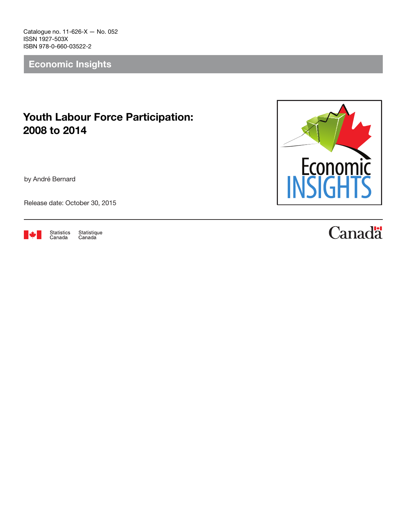Catalogue no. 11-626-X — No. 052 ISSN 1927-503X ISBN 978-0-660-03522-2

Economic Insights

## Youth Labour Force Participation: 2008 to 2014

by André Bernard

Release date: October 30, 2015



Statistics<br>Canada Statistique<br>Canada



## **Canadä**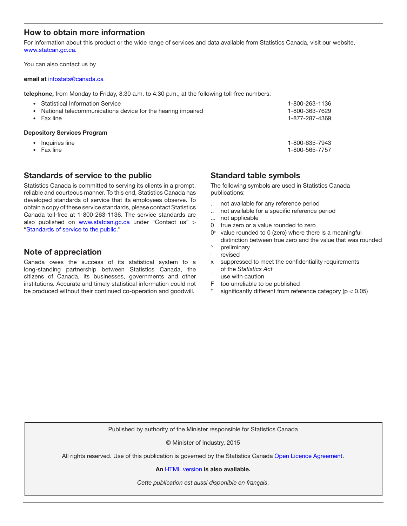## How to obtain more information

For information about this product or the wide range of services and data available from Statistics Canada, visit our website, [www.statcan.gc.ca.](http://www.statcan.gc.ca)

You can also contact us by

#### email at [infostats@canada.ca](mailto:infostats%40canada.ca?subject=)

telephone, from Monday to Friday, 8:30 a.m. to 4:30 p.m., at the following toll-free numbers:

| National telecommunications device for the hearing impaired<br>٠<br>Fax line |                | <b>Depository Services Program</b> |  |
|------------------------------------------------------------------------------|----------------|------------------------------------|--|
|                                                                              | 1-877-287-4369 |                                    |  |
|                                                                              | 1-800-363-7629 |                                    |  |
|                                                                              | 1-800-263-1136 | • Statistical Information Service  |  |

- Inquiries line 1-800-635-7943
- Fax line 1-800-565-7757
- 

## Standards of service to the public

Statistics Canada is committed to serving its clients in a prompt, reliable and courteous manner. To this end, Statistics Canada has developed standards of service that its employees observe. To obtain a copy of these service standards, please contact Statistics Canada toll-free at 1-800-263-1136. The service standards are also published on www.statcan.gc.ca under "Contact us" > "[Standards of service to the public](http://www.statcan.gc.ca/eng/about/service/standards)."

## Note of appreciation

Canada owes the success of its statistical system to a long-standing partnership between Statistics Canada, the citizens of Canada, its businesses, governments and other institutions. Accurate and timely statistical information could not be produced without their continued co-operation and goodwill.

Standard table symbols

The following symbols are used in Statistics Canada publications:

- . not available for any reference period
- .. not available for a specific reference period
- ... not applicable
- 0 true zero or a value rounded to zero
- $0<sup>s</sup>$  value rounded to 0 (zero) where there is a meaningful distinction between true zero and the value that was rounded
- <sup>p</sup> preliminary
- revised
- x suppressed to meet the confidentiality requirements of the *Statistics Act*
- $E$  use with caution
- F too unreliable to be published
- significantly different from reference category ( $p < 0.05$ )

Published by authority of the Minister responsible for Statistics Canada

© Minister of Industry, 2015

All rights reserved. Use of this publication is governed by the Statistics Canada [Open Licence Agreement](http://www.statcan.gc.ca/eng/reference/licence-eng.htm).

An [HTML version](http://www.statcan.gc.ca/pub/11-626-x/11-626-x2015052-eng.htm) is also available.

*Cette publication est aussi disponible en français*.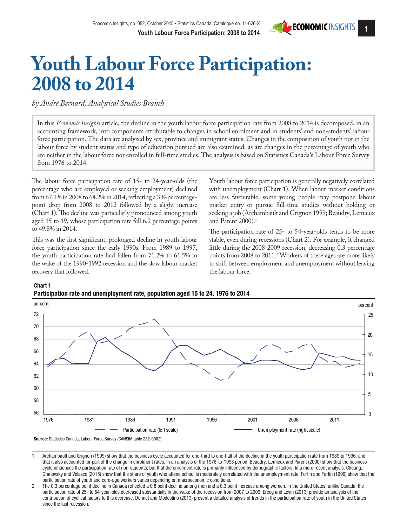

# **Youth Labour Force Participation: 2008 to 2014**

*by André Bernard, Analytical Studies Branch*

In this *Economic Insights* article, the decline in the youth labour force participation rate from 2008 to 2014 is decomposed, in an accounting framework, into components attributable to changes in school enrolment and in students' and non-students' labour force participation. The data are analyzed by sex, province and immigrant status. Changes in the composition of youth not in the labour force by student status and type of education pursued are also examined, as are changes in the percentage of youth who are neither in the labour force nor enrolled in full-time studies. The analysis is based on Statistics Canada's Labour Force Survey from 1976 to 2014.

The labour force participation rate of 15- to 24-year-olds (the percentage who are employed or seeking employment) declined from 67.3% in 2008 to 64.2% in 2014, reflecting a 3.8-percentagepoint drop from 2008 to 2012 followed by a slight increase (Chart 1). The decline was particularly pronounced among youth aged 15 to 19, whose participation rate fell 6.2 percentage points to 49.8% in 2014.

This was the first significant, prolonged decline in youth labour force participation since the early 1990s. From 1989 to 1997, the youth participation rate had fallen from 71.2% to 61.5% in the wake of the 1990-1992 recession and the slow labour market recovery that followed.

Youth labour force participation is generally negatively correlated with unemployment (Chart 1). When labour market conditions are less favourable, some young people may postpone labour market entry or pursue full-time studies without holding or seeking a job (Archambault and Grignon 1999; Beaudry, Lemieux and Parent 2000).<sup>1</sup>

The participation rate of 25- to 54-year-olds tends to be more stable, even during recessions (Chart 2). For example, it changed little during the 2008-2009 recession, decreasing 0.3 percentage points from 2008 to 2011.2 Workers of these ages are more likely to shift between employment and unemployment without leaving the labour force.





1. Archambault and Grignon (1999) show that the business cycle accounted for one-third to one-half of the decline in the youth participation rate from 1989 to 1996, and that it also accounted for part of the change in enrolment rates. In an analysis of the 1976-to-1998 period, Beaudry, Lemieux and Parent (2000) show that the business cycle influences the participation rate of non-students, but that the enrolment rate is primarily influenced by demographic factors. In a more recent analysis, Cheung, Granovsky and Velasco (2015) show that the share of youth who attend school is moderately correlated with the unemployment rate. Fortin and Fortin (1999) show that the participation rate of youth and core-age workers varies depending on macroeconomic conditions.

2. The 0.3 percentage point decline in Canada reflected a 0.8 point decline among men and a 0.3 point increase among women. In the United States, unlike Canada, the participation rate of 25- to 54-year-olds decreased substantially in the wake of the recession from 2007 to 2009. Erceg and Levin (2013) provide an analysis of the contribution of cyclical factors to this decrease. Dennet and Modestino (2013) present a detailed analysis of trends in the participation rate of youth in the United States since the last recession.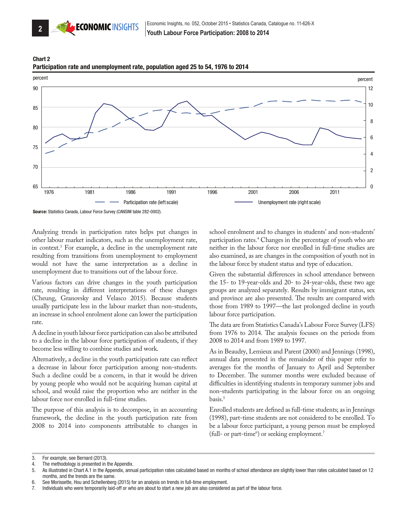





Source: Statistics Canada, Labour Force Survey (CANSIM table 282-0002).

Analyzing trends in participation rates helps put changes in other labour market indicators, such as the unemployment rate, in context.3 For example, a decline in the unemployment rate resulting from transitions from unemployment to employment would not have the same interpretation as a decline in unemployment due to transitions out of the labour force.

Various factors can drive changes in the youth participation rate, resulting in different interpretations of these changes (Cheung, Granovsky and Velasco 2015). Because students usually participate less in the labour market than non-students, an increase in school enrolment alone can lower the participation rate.

A decline in youth labour force participation can also be attributed to a decline in the labour force participation of students, if they become less willing to combine studies and work.

Alternatively, a decline in the youth participation rate can reflect a decrease in labour force participation among non-students. Such a decline could be a concern, in that it would be driven by young people who would not be acquiring human capital at school, and would raise the proportion who are neither in the labour force nor enrolled in full-time studies.

The purpose of this analysis is to decompose, in an accounting framework, the decline in the youth participation rate from 2008 to 2014 into components attributable to changes in school enrolment and to changes in students' and non-students' participation rates.4 Changes in the percentage of youth who are neither in the labour force nor enrolled in full-time studies are also examined, as are changes in the composition of youth not in the labour force by student status and type of education.

Given the substantial differences in school attendance between the 15- to 19-year-olds and 20- to 24-year-olds, these two age groups are analyzed separately. Results by immigrant status, sex and province are also presented. The results are compared with those from 1989 to 1997—the last prolonged decline in youth labour force participation.

The data are from Statistics Canada's Labour Force Survey (LFS) from 1976 to 2014. The analysis focuses on the periods from 2008 to 2014 and from 1989 to 1997.

As in Beaudry, Lemieux and Parent (2000) and Jennings (1998), annual data presented in the remainder of this paper refer to averages for the months of January to April and September to December. The summer months were excluded because of difficulties in identifying students in temporary summer jobs and non-students participating in the labour force on an ongoing basis.5

Enrolled students are defined as full-time students; as in Jennings (1998), part-time students are not considered to be enrolled. To be a labour force participant, a young person must be employed (full- or part-time<sup>6</sup>) or seeking employment.<sup>7</sup>

<sup>3.</sup> For example, see Bernard (2013).

The methodology is presented in the Appendix.

<sup>5.</sup> As illustrated in Chart A.1 in the Appendix, annual participation rates calculated based on months of school attendance are slightly lower than rates calculated based on 12 months, and the trends are the same.

<sup>6.</sup> See Morissette, Hou and Schellenberg (2015) for an analysis on trends in full-time employment.

<sup>7.</sup> Individuals who were temporarily laid-off or who are about to start a new job are also considered as part of the labour force.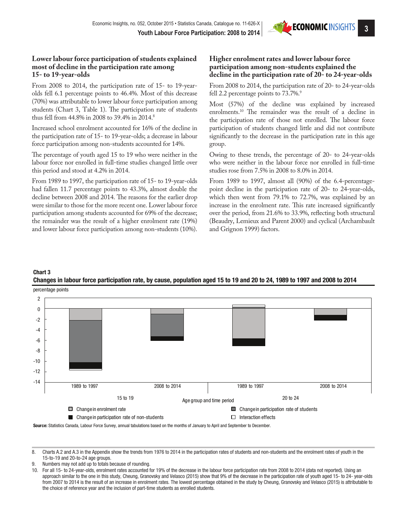

### **Lower labour force participation of students explained most of decline in the participation rate among 15- to 19-year-olds**

From 2008 to 2014, the participation rate of 15- to 19-yearolds fell 6.1 percentage points to 46.4%. Most of this decrease (70%) was attributable to lower labour force participation among students (Chart 3, Table 1). The participation rate of students thus fell from 44.8% in 2008 to 39.4% in 2014.8

Increased school enrolment accounted for 16% of the decline in the participation rate of 15- to 19-year-olds; a decrease in labour force participation among non-students accounted for 14%.

The percentage of youth aged 15 to 19 who were neither in the labour force nor enrolled in full-time studies changed little over this period and stood at 4.2% in 2014.

From 1989 to 1997, the participation rate of 15- to 19-year-olds had fallen 11.7 percentage points to 43.3%, almost double the decline between 2008 and 2014. The reasons for the earlier drop were similar to those for the more recent one. Lower labour force participation among students accounted for 69% of the decrease; the remainder was the result of a higher enrolment rate (19%) and lower labour force participation among non-students (10%).

## **Higher enrolment rates and lower labour force participation among non-students explained the decline in the participation rate of 20- to 24-year-olds**

From 2008 to 2014, the participation rate of 20- to 24-year-olds fell 2.2 percentage points to 73.7%.<sup>9</sup>

Most (57%) of the decline was explained by increased enrolments.10 The remainder was the result of a decline in the participation rate of those not enrolled. The labour force participation of students changed little and did not contribute significantly to the decrease in the participation rate in this age group.

Owing to these trends, the percentage of 20- to 24-year-olds who were neither in the labour force nor enrolled in full-time studies rose from 7.5% in 2008 to 8.0% in 2014.

From 1989 to 1997, almost all (90%) of the 6.4-percentagepoint decline in the participation rate of 20- to 24-year-olds, which then went from 79.1% to 72.7%, was explained by an increase in the enrolment rate. This rate increased significantly over the period, from 21.6% to 33.9%, reflecting both structural (Beaudry, Lemieux and Parent 2000) and cyclical (Archambault and Grignon 1999) factors.

## Chart 3 Changes in labour force participation rate, by cause, population aged 15 to 19 and 20 to 24, 1989 to 1997 and 2008 to 2014



- Numbers may not add up to totals because of rounding.
- 10. For all 15- to 24-year-olds, enrolment rates accounted for 19% of the decrease in the labour force participation rate from 2008 to 2014 (data not reported). Using an approach similar to the one in this study, Cheung, Granovsky and Velasco (2015) show that 9% of the decrease in the participation rate of youth aged 15- to 24- year-olds from 2007 to 2014 is the result of an increase in enrolment rates. The lowest percentage obtained in the study by Cheung, Granovsky and Velasco (2015) is attributable to the choice of reference year and the inclusion of part-time students as enrolled students.

<sup>8.</sup> Charts A.2 and A.3 in the Appendix show the trends from 1976 to 2014 in the participation rates of students and non-students and the enrolment rates of youth in the 15-to-19 and 20-to-24 age groups.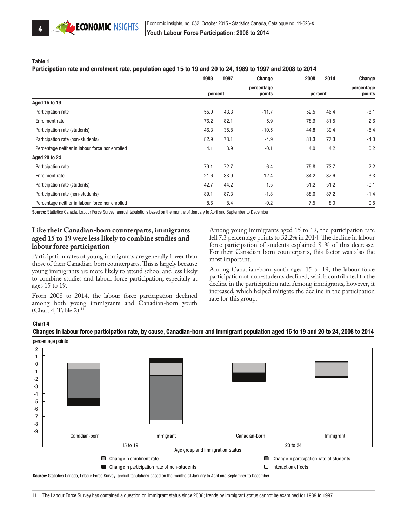

#### Table 1

#### Participation rate and enrolment rate, population aged 15 to 19 and 20 to 24, 1989 to 1997 and 2008 to 2014

|                                                 | 1989    | 1997 | Change               | 2008    | 2014 | Change               |
|-------------------------------------------------|---------|------|----------------------|---------|------|----------------------|
|                                                 | percent |      | percentage<br>points | percent |      | percentage<br>points |
| <b>Aged 15 to 19</b>                            |         |      |                      |         |      |                      |
| Participation rate                              | 55.0    | 43.3 | $-11.7$              | 52.5    | 46.4 | $-6.1$               |
| Enrolment rate                                  | 76.2    | 82.1 | 5.9                  | 78.9    | 81.5 | 2.6                  |
| Participation rate (students)                   | 46.3    | 35.8 | $-10.5$              | 44.8    | 39.4 | $-5.4$               |
| Participation rate (non-students)               | 82.9    | 78.1 | $-4.9$               | 81.3    | 77.3 | $-4.0$               |
| Percentage neither in labour force nor enrolled | 4.1     | 3.9  | $-0.1$               | 4.0     | 4.2  | 0.2                  |
| <b>Aged 20 to 24</b>                            |         |      |                      |         |      |                      |
| Participation rate                              | 79.1    | 72.7 | $-6.4$               | 75.8    | 73.7 | $-2.2$               |
| Enrolment rate                                  | 21.6    | 33.9 | 12.4                 | 34.2    | 37.6 | 3.3                  |
| Participation rate (students)                   | 42.7    | 44.2 | 1.5                  | 51.2    | 51.2 | $-0.1$               |
| Participation rate (non-students)               | 89.1    | 87.3 | $-1.8$               | 88.6    | 87.2 | $-1.4$               |
| Percentage neither in labour force nor enrolled | 8.6     | 8.4  | $-0.2$               | 7.5     | 8.0  | 0.5                  |

Source: Statistics Canada, Labour Force Survey, annual tabulations based on the months of January to April and September to December.

## **Like their Canadian-born counterparts, immigrants aged 15 to 19 were less likely to combine studies and labour force participation**

Participation rates of young immigrants are generally lower than those of their Canadian-born counterparts. This is largely because young immigrants are more likely to attend school and less likely to combine studies and labour force participation, especially at ages 15 to 19.

From 2008 to 2014, the labour force participation declined among both young immigrants and Canadian-born youth (Chart 4, Table 2).11

Among young immigrants aged 15 to 19, the participation rate fell 7.3 percentage points to 32.2% in 2014. The decline in labour force participation of students explained 81% of this decrease. For their Canadian-born counterparts, this factor was also the most important.

Among Canadian-born youth aged 15 to 19, the labour force participation of non-students declined, which contributed to the decline in the participation rate. Among immigrants, however, it increased, which helped mitigate the decline in the participation rate for this group.

#### Chart 4



Changes in labour force participation rate, by cause, Canadian-born and immigrant population aged 15 to 19 and 20 to 24, 2008 to 2014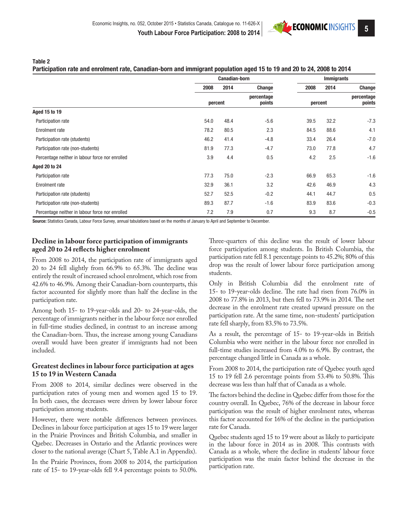Table 2

#### Participation rate and enrolment rate, Canadian-born and immigrant population aged 15 to 19 and 20 to 24, 2008 to 2014

|                                                 |         | <b>Canadian-born</b> |                      |         | <b>Immigrants</b> |                      |
|-------------------------------------------------|---------|----------------------|----------------------|---------|-------------------|----------------------|
|                                                 | 2008    | 2014                 | <b>Change</b>        | 2008    | 2014              | Change               |
|                                                 | percent |                      | percentage<br>points | percent |                   | percentage<br>points |
| Aged 15 to 19                                   |         |                      |                      |         |                   |                      |
| Participation rate                              | 54.0    | 48.4                 | $-5.6$               | 39.5    | 32.2              | $-7.3$               |
| Enrolment rate                                  | 78.2    | 80.5                 | 2.3                  | 84.5    | 88.6              | 4.1                  |
| Participation rate (students)                   | 46.2    | 41.4                 | $-4.8$               | 33.4    | 26.4              | $-7.0$               |
| Participation rate (non-students)               | 81.9    | 77.3                 | $-4.7$               | 73.0    | 77.8              | 4.7                  |
| Percentage neither in labour force nor enrolled | 3.9     | 4.4                  | 0.5                  | 4.2     | 2.5               | $-1.6$               |
| <b>Aged 20 to 24</b>                            |         |                      |                      |         |                   |                      |
| Participation rate                              | 77.3    | 75.0                 | $-2.3$               | 66.9    | 65.3              | $-1.6$               |
| Enrolment rate                                  | 32.9    | 36.1                 | 3.2                  | 42.6    | 46.9              | 4.3                  |
| Participation rate (students)                   | 52.7    | 52.5                 | $-0.2$               | 44.1    | 44.7              | 0.5                  |
| Participation rate (non-students)               | 89.3    | 87.7                 | $-1.6$               | 83.9    | 83.6              | $-0.3$               |
| Percentage neither in labour force nor enrolled | 7.2     | 7.9                  | 0.7                  | 9.3     | 8.7               | $-0.5$               |

Source: Statistics Canada, Labour Force Survey, annual tabulations based on the months of January to April and September to December.

## **Decline in labour force participation of immigrants aged 20 to 24 reflects higher enrolment**

From 2008 to 2014, the participation rate of immigrants aged 20 to 24 fell slightly from 66.9% to 65.3%. The decline was entirely the result of increased school enrolment, which rose from 42.6% to 46.9%. Among their Canadian-born counterparts, this factor accounted for slightly more than half the decline in the participation rate.

Among both 15- to 19-year-olds and 20- to 24-year-olds, the percentage of immigrants neither in the labour force nor enrolled in full-time studies declined, in contrast to an increase among the Canadian-born. Thus, the increase among young Canadians overall would have been greater if immigrants had not been included.

## **Greatest declines in labour force participation at ages 15 to 19 in Western Canada**

From 2008 to 2014, similar declines were observed in the participation rates of young men and women aged 15 to 19. In both cases, the decreases were driven by lower labour force participation among students.

However, there were notable differences between provinces. Declines in labour force participation at ages 15 to 19 were larger in the Prairie Provinces and British Columbia, and smaller in Quebec. Decreases in Ontario and the Atlantic provinces were closer to the national average (Chart 5, Table A.1 in Appendix).

In the Prairie Provinces, from 2008 to 2014, the participation rate of 15- to 19-year-olds fell 9.4 percentage points to 50.0%. Three-quarters of this decline was the result of lower labour force participation among students. In British Columbia, the participation rate fell 8.1 percentage points to 45.2%; 80% of this drop was the result of lower labour force participation among students.

Only in British Columbia did the enrolment rate of 15- to 19-year-olds decline. The rate had risen from 76.0% in 2008 to 77.8% in 2013, but then fell to 73.9% in 2014. The net decrease in the enrolment rate created upward pressure on the participation rate. At the same time, non-students' participation rate fell sharply, from 83.5% to 73.5%.

As a result, the percentage of 15- to 19-year-olds in British Columbia who were neither in the labour force nor enrolled in full-time studies increased from 4.0% to 6.9%. By contrast, the percentage changed little in Canada as a whole.

From 2008 to 2014, the participation rate of Quebec youth aged 15 to 19 fell 2.6 percentage points from 53.4% to 50.8%. This decrease was less than half that of Canada as a whole.

The factors behind the decline in Quebec differ from those for the country overall. In Quebec, 76% of the decrease in labour force participation was the result of higher enrolment rates, whereas this factor accounted for 16% of the decline in the participation rate for Canada.

Quebec students aged 15 to 19 were about as likely to participate in the labour force in 2014 as in 2008. This contrasts with Canada as a whole, where the decline in students' labour force participation was the main factor behind the decrease in the participation rate.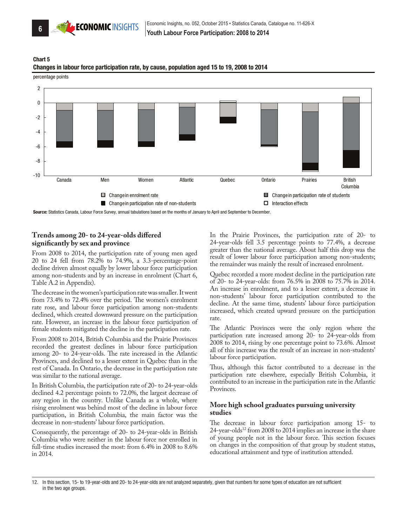

percentage points





Source: Statistics Canada, Labour Force Survey, annual tabulations based on the months of January to April and September to December

## **Trends among 20- to 24-year-olds differed significantly by sex and province**

From 2008 to 2014, the participation rate of young men aged 20 to 24 fell from 78.2% to 74.9%, a 3.3-percentage-point decline driven almost equally by lower labour force participation among non-students and by an increase in enrolment (Chart 6, Table A.2 in Appendix).

The decrease in the women's participation rate was smaller. It went from 73.4% to 72.4% over the period. The women's enrolment rate rose, and labour force participation among non-students declined, which created downward pressure on the participation rate. However, an increase in the labour force participation of female students mitigated the decline in the participation rate.

From 2008 to 2014, British Columbia and the Prairie Provinces recorded the greatest declines in labour force participation among 20- to 24-year-olds. The rate increased in the Atlantic Provinces, and declined to a lesser extent in Quebec than in the rest of Canada. In Ontario, the decrease in the participation rate was similar to the national average.

In British Columbia, the participation rate of 20- to 24-year-olds declined 4.2 percentage points to 72.0%, the largest decrease of any region in the country. Unlike Canada as a whole, where rising enrolment was behind most of the decline in labour force participation, in British Columbia, the main factor was the decrease in non-students' labour force participation.

Consequently, the percentage of 20- to 24-year-olds in British Columbia who were neither in the labour force nor enrolled in full-time studies increased the most: from 6.4% in 2008 to 8.6% in 2014.

In the Prairie Provinces, the participation rate of 20- to 24-year-olds fell 3.5 percentage points to 77.4%, a decrease greater than the national average. About half this drop was the result of lower labour force participation among non-students; the remainder was mainly the result of increased enrolment.

Quebec recorded a more modest decline in the participation rate of 20- to 24-year-olds: from 76.5% in 2008 to 75.7% in 2014. An increase in enrolment, and to a lesser extent, a decrease in non-students' labour force participation contributed to the decline. At the same time, students' labour force participation increased, which created upward pressure on the participation rate.

The Atlantic Provinces were the only region where the participation rate increased among 20- to 24-year-olds from 2008 to 2014, rising by one percentage point to 73.6%. Almost all of this increase was the result of an increase in non-students' labour force participation.

Thus, although this factor contributed to a decrease in the participation rate elsewhere, especially British Columbia, it contributed to an increase in the participation rate in the Atlantic Provinces.

#### **More high school graduates pursuing university studies**

The decrease in labour force participation among 15- to 24-year-olds<sup>12</sup> from 2008 to 2014 implies an increase in the share of young people not in the labour force. This section focuses on changes in the composition of that group by student status, educational attainment and type of institution attended.

<sup>12.</sup> In this section, 15- to 19-year-olds and 20- to 24-year-olds are not analyzed separately, given that numbers for some types of education are not sufficient in the two age groups.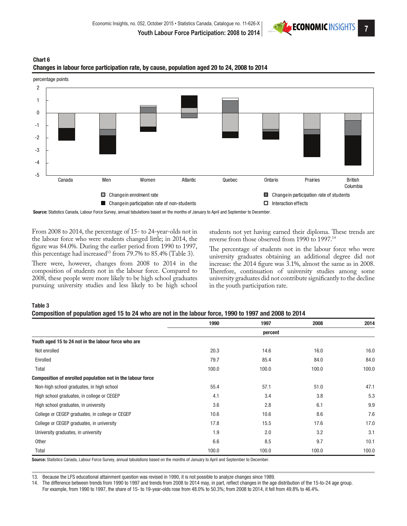





Source: Statistics Canada, Labour Force Survey, annual tabulations based on the months of January to April and September to December.

From 2008 to 2014, the percentage of 15- to 24-year-olds not in the labour force who were students changed little; in 2014, the figure was 84.0%. During the earlier period from 1990 to 1997, this percentage had increased<sup>13</sup> from  $79.7\%$  to 85.4% (Table 3).

There were, however, changes from 2008 to 2014 in the composition of students not in the labour force. Compared to 2008, these people were more likely to be high school graduates pursuing university studies and less likely to be high school students not yet having earned their diploma. These trends are reverse from those observed from 1990 to 1997.14

The percentage of students not in the labour force who were university graduates obtaining an additional degree did not increase: the 2014 figure was 3.1%, almost the same as in 2008. Therefore, continuation of university studies among some university graduates did not contribute significantly to the decline in the youth participation rate.

#### Table 3

| Composition of population aged 15 to 24 who are not in the labour force, 1990 to 1997 and 2008 to 2014 |  |  |  |  |  |  |  |  |  |
|--------------------------------------------------------------------------------------------------------|--|--|--|--|--|--|--|--|--|
|--------------------------------------------------------------------------------------------------------|--|--|--|--|--|--|--|--|--|

|                                                            | 1990  | 1997    | 2008  | 2014  |
|------------------------------------------------------------|-------|---------|-------|-------|
|                                                            |       | percent |       |       |
| Youth aged 15 to 24 not in the labour force who are        |       |         |       |       |
| Not enrolled                                               | 20.3  | 14.6    | 16.0  | 16.0  |
| Enrolled                                                   | 79.7  | 85.4    | 84.0  | 84.0  |
| Total                                                      | 100.0 | 100.0   | 100.0 | 100.0 |
| Composition of enrolled population not in the labour force |       |         |       |       |
| Non-high school graduates, in high school                  | 55.4  | 57.1    | 51.0  | 47.1  |
| High school graduates, in college or CEGEP                 | 4.1   | 3.4     | 3.8   | 5.3   |
| High school graduates, in university                       | 3.6   | 2.8     | 6.1   | 9.9   |
| College or CEGEP graduates, in college or CEGEP            | 10.6  | 10.6    | 8.6   | 7.6   |
| College or CEGEP graduates, in university                  | 17.8  | 15.5    | 17.6  | 17.0  |
| University graduates, in university                        | 1.9   | 2.0     | 3.2   | 3.1   |
| <b>Other</b>                                               | 6.6   | 8.5     | 9.7   | 10.1  |
| Total                                                      | 100.0 | 100.0   | 100.0 | 100.0 |

Source: Statistics Canada, Labour Force Survey, annual tabulations based on the months of January to April and September to December.

13. Because the LFS educational attainment question was revised in 1990, it is not possible to analyze changes since 1989.

14. The difference between trends from 1990 to 1997 and trends from 2008 to 2014 may, in part, reflect changes in the age distribution of the 15-to-24 age group. For example, from 1990 to 1997, the share of 15- to 19-year-olds rose from 48.0% to 50.3%; from 2008 to 2014, it fell from 49.8% to 46.4%.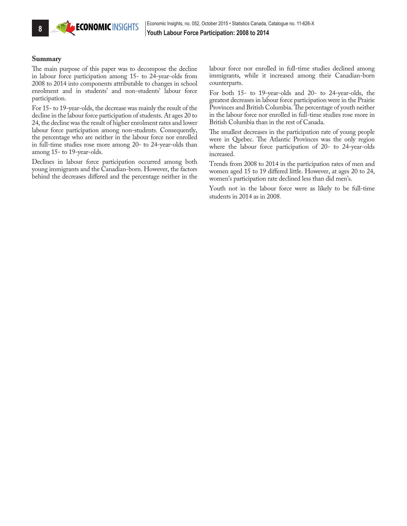

#### **Summary**

The main purpose of this paper was to decompose the decline in labour force participation among 15- to 24-year-olds from 2008 to 2014 into components attributable to changes in school enrolment and in students' and non-students' labour force participation.

For 15- to 19-year-olds, the decrease was mainly the result of the decline in the labour force participation of students. At ages 20 to 24, the decline was the result of higher enrolment rates and lower labour force participation among non-students. Consequently, the percentage who are neither in the labour force nor enrolled in full-time studies rose more among 20- to 24-year-olds than among 15- to 19-year-olds.

Declines in labour force participation occurred among both young immigrants and the Canadian-born. However, the factors behind the decreases differed and the percentage neither in the labour force nor enrolled in full-time studies declined among immigrants, while it increased among their Canadian-born counterparts.

For both 15- to 19-year-olds and 20- to 24-year-olds, the greatest decreases in labour force participation were in the Prairie Provinces and British Columbia. The percentage of youth neither in the labour force nor enrolled in full-time studies rose more in British Columbia than in the rest of Canada.

The smallest decreases in the participation rate of young people were in Quebec. The Atlantic Provinces was the only region where the labour force participation of 20- to 24-year-olds increased.

Trends from 2008 to 2014 in the participation rates of men and women aged 15 to 19 differed little. However, at ages 20 to 24, women's participation rate declined less than did men's.

Youth not in the labour force were as likely to be full-time students in 2014 as in 2008.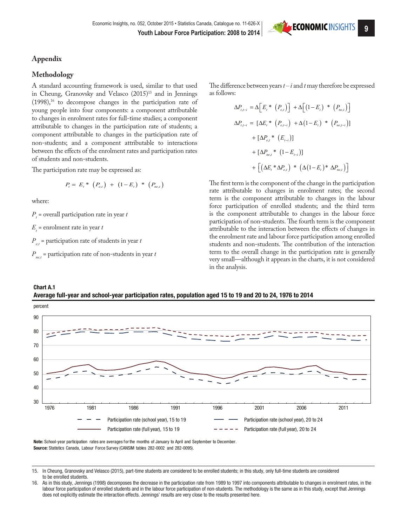## **Appendix**

#### **Methodology**

A standard accounting framework is used, similar to that used in Cheung, Granovsky and Velasco (2015)<sup>15</sup> and in Jennings  $(1998)$ ,<sup>16</sup> to decompose changes in the participation rate of young people into four components: a component attributable to changes in enrolment rates for full-time studies; a component attributable to changes in the participation rate of students; a component attributable to changes in the participation rate of non-students; and a component attributable to interactions between the effects of the enrolment rates and participation rates of students and non-students.

The participation rate may be expressed as:

$$
P_t = E_t * (P_{e,t}) + (1 - E_t) * (P_{ne,t})
$$

where:

*Pt* = overall participation rate in year *t*

 $E_t$  = enrolment rate in year *t* 

 $P_{et}$  = participation rate of students in year *t* 

 $P_{net}$  = participation rate of non-students in year *t* 

The difference between years *t – i* and *t* may therefore be expressed as follows:

$$
\Delta P_{t,t-i} = \Delta \Big[ E_t^* \left( P_{e,t} \right) \Big] + \Delta \Big[ \left( 1 - E_t \right)^* \left( P_{ne,t} \right) \Big]
$$
\n
$$
\Delta P_{t,t-i} = \Big[ \Delta E_t^* \left( P_{e,t-i} \right) + \Delta \left( 1 - E_t \right)^* \left( P_{ne,t-i} \right) \Big]
$$
\n
$$
+ \Big[ \Delta P_{e,t}^* \left( E_{t-i} \right) \Big]
$$
\n
$$
+ \Big[ \Delta P_{ne,t}^* \left( 1 - E_{t-i} \right) \Big]
$$
\n
$$
+ \Big[ \Big( \Delta E_t^* \Delta P_{e,t} \Big)^* \left( \Delta \left( 1 - E_t \right)^* \Delta P_{ne,t} \right) \Big]
$$

The first term is the component of the change in the participation rate attributable to changes in enrolment rates; the second term is the component attributable to changes in the labour force participation of enrolled students; and the third term is the component attributable to changes in the labour force participation of non-students. The fourth term is the component attributable to the interaction between the effects of changes in the enrolment rate and labour force participation among enrolled students and non-students. The contribution of the interaction term to the overall change in the participation rate is generally very small—although it appears in the charts, it is not considered in the analysis.





Source: Statistics Canada, Labour Force Survey (CANSIM tables 282-0002 and 282-0095). Note: School-year participation rates are averages for the months of January to April and September to December

15. In Cheung, Granovsky and Velasco (2015), part-time students are considered to be enrolled students; in this study, only full-time students are considered to be enrolled students.

<sup>16.</sup> As in this study, Jennings (1998) decomposes the decrease in the participation rate from 1989 to 1997 into components attributable to changes in enrolment rates, in the labour force participation of enrolled students and in the labour force participation of non-students. The methodology is the same as in this study, except that Jennings does not explicitly estimate the interaction effects. Jennings' results are very close to the results presented here.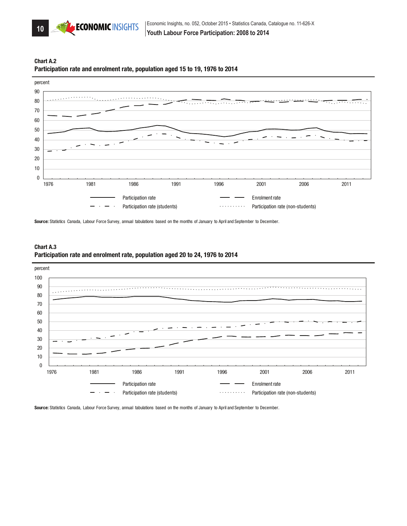





Source: Statistics Canada, Labour Force Survey, annual tabulations based on the months of January to April and September to December.



Participation rate **Enrolment rate Enrolment rate** 

Participation rate (students) and resolution rate (non-students) and resolution rate (non-students)



Source: Statistics Canada, Labour Force Survey, annual tabulations based on the months of January to April and September to December.

 $\cdot$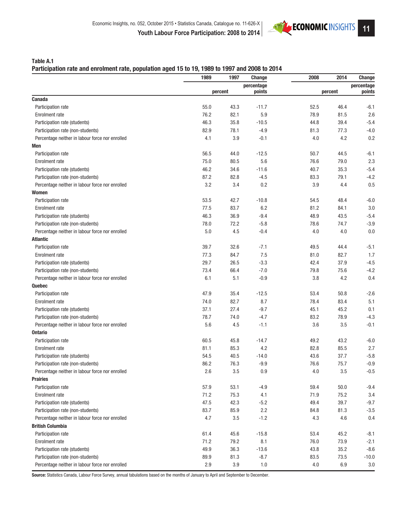

### Table A.1

#### Participation rate and enrolment rate, population aged 15 to 19, 1989 to 1997 and 2008 to 2014

|                                                 | 1989 | 1997       | Change  | 2008 | 2014    | Change     |  |
|-------------------------------------------------|------|------------|---------|------|---------|------------|--|
|                                                 |      | percentage |         |      |         | percentage |  |
|                                                 |      | percent    | points  |      | percent | points     |  |
| Canada                                          |      |            |         |      |         |            |  |
| Participation rate                              | 55.0 | 43.3       | $-11.7$ | 52.5 | 46.4    | $-6.1$     |  |
| <b>Enrolment rate</b>                           | 76.2 | 82.1       | 5.9     | 78.9 | 81.5    | 2.6        |  |
| Participation rate (students)                   | 46.3 | 35.8       | $-10.5$ | 44.8 | 39.4    | $-5.4$     |  |
| Participation rate (non-students)               | 82.9 | 78.1       | $-4.9$  | 81.3 | 77.3    | $-4.0$     |  |
| Percentage neither in labour force nor enrolled | 4.1  | 3.9        | $-0.1$  | 4.0  | 4.2     | 0.2        |  |
| Men                                             |      |            |         |      |         |            |  |
| Participation rate                              | 56.5 | 44.0       | $-12.5$ | 50.7 | 44.5    | $-6.1$     |  |
| <b>Enrolment rate</b>                           | 75.0 | 80.5       | 5.6     | 76.6 | 79.0    | 2.3        |  |
| Participation rate (students)                   | 46.2 | 34.6       | $-11.6$ | 40.7 | 35.3    | $-5.4$     |  |
| Participation rate (non-students)               | 87.2 | 82.8       | $-4.5$  | 83.3 | 79.1    | $-4.2$     |  |
| Percentage neither in labour force nor enrolled | 3.2  | 3.4        | 0.2     | 3.9  | 4.4     | 0.5        |  |
| Women                                           |      |            |         |      |         |            |  |
| Participation rate                              | 53.5 | 42.7       | $-10.8$ | 54.5 | 48.4    | $-6.0$     |  |
| <b>Enrolment rate</b>                           | 77.5 | 83.7       | 6.2     | 81.2 | 84.1    | 3.0        |  |
| Participation rate (students)                   | 46.3 | 36.9       | $-9.4$  | 48.9 | 43.5    | $-5.4$     |  |
| Participation rate (non-students)               | 78.0 | 72.2       | $-5.8$  | 78.6 | 74.7    | $-3.9$     |  |
| Percentage neither in labour force nor enrolled | 5.0  | 4.5        | $-0.4$  | 4.0  | 4.0     | 0.0        |  |
| <b>Atlantic</b>                                 |      |            |         |      |         |            |  |
| Participation rate                              | 39.7 | 32.6       | $-7.1$  | 49.5 | 44.4    | $-5.1$     |  |
| <b>Enrolment rate</b>                           | 77.3 | 84.7       | 7.5     | 81.0 | 82.7    | 1.7        |  |
| Participation rate (students)                   | 29.7 | 26.5       | $-3.3$  | 42.4 | 37.9    | $-4.5$     |  |
| Participation rate (non-students)               | 73.4 | 66.4       | $-7.0$  | 79.8 | 75.6    | $-4.2$     |  |
| Percentage neither in labour force nor enrolled | 6.1  | 5.1        | $-0.9$  | 3.8  | 4.2     | 0.4        |  |
| Quebec                                          |      |            |         |      |         |            |  |
| Participation rate                              | 47.9 | 35.4       | $-12.5$ | 53.4 | 50.8    | $-2.6$     |  |
| <b>Enrolment rate</b>                           | 74.0 | 82.7       | 8.7     | 78.4 | 83.4    | 5.1        |  |
| Participation rate (students)                   | 37.1 | 27.4       | $-9.7$  | 45.1 | 45.2    | 0.1        |  |
| Participation rate (non-students)               | 78.7 | 74.0       | $-4.7$  | 83.2 | 78.9    | $-4.3$     |  |
| Percentage neither in labour force nor enrolled | 5.6  | 4.5        | $-1.1$  | 3.6  | 3.5     | $-0.1$     |  |
| <b>Ontario</b>                                  |      |            |         |      |         |            |  |
| Participation rate                              | 60.5 | 45.8       | $-14.7$ | 49.2 | 43.2    | $-6.0$     |  |
| <b>Enrolment rate</b>                           | 81.1 | 85.3       | 4.2     | 82.8 | 85.5    | 2.7        |  |
| Participation rate (students)                   | 54.5 | 40.5       | $-14.0$ | 43.6 | 37.7    | $-5.8$     |  |
| Participation rate (non-students)               | 86.2 | 76.3       | $-9.9$  | 76.6 | 75.7    | $-0.9$     |  |
| Percentage neither in labour force nor enrolled | 2.6  | 3.5        | 0.9     | 4.0  | 3.5     | $-0.5$     |  |
| Prairies                                        |      |            |         |      |         |            |  |
| Participation rate                              | 57.9 | 53.1       | $-4.9$  | 59.4 | 50.0    | $-9.4$     |  |
| <b>Enrolment rate</b>                           | 71.2 | 75.3       | 4.1     | 71.9 | 75.2    | 3.4        |  |
| Participation rate (students)                   | 47.5 | 42.3       | $-5.2$  | 49.4 | 39.7    | $-9.7$     |  |
| Participation rate (non-students)               | 83.7 | 85.9       | 2.2     | 84.8 | 81.3    | $-3.5$     |  |
| Percentage neither in labour force nor enrolled | 4.7  | 3.5        | $-1.2$  | 4.3  | 4.6     | 0.4        |  |
| <b>British Columbia</b>                         |      |            |         |      |         |            |  |
| Participation rate                              | 61.4 | 45.6       | $-15.8$ | 53.4 | 45.2    | $-8.1$     |  |
| <b>Enrolment rate</b>                           | 71.2 | 79.2       | 8.1     | 76.0 | 73.9    | $-2.1$     |  |
| Participation rate (students)                   | 49.9 | 36.3       | $-13.6$ | 43.8 | 35.2    | $-8.6$     |  |
| Participation rate (non-students)               | 89.9 | 81.3       | $-8.7$  | 83.5 |         | $-10.0$    |  |
|                                                 |      |            |         |      | 73.5    |            |  |
| Percentage neither in labour force nor enrolled | 2.9  | 3.9        | 1.0     | 4.0  | $6.9\,$ | 3.0        |  |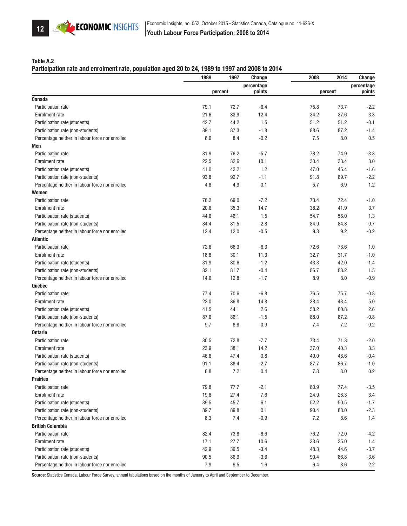

#### Table A.2

#### Participation rate and enrolment rate, population aged 20 to 24, 1989 to 1997 and 2008 to 2014

|                                                 | 1989    | 1997    | Change     | 2008    | 2014      | Change     |
|-------------------------------------------------|---------|---------|------------|---------|-----------|------------|
|                                                 |         |         | percentage |         |           | percentage |
|                                                 |         | percent | points     | percent |           | points     |
| Canada                                          |         |         |            |         |           |            |
| Participation rate                              | 79.1    | 72.7    | $-6.4$     | 75.8    | 73.7      | $-2.2$     |
| <b>Enrolment</b> rate                           | 21.6    | 33.9    | 12.4       | 34.2    | 37.6      | 3.3        |
| Participation rate (students)                   | 42.7    | 44.2    | 1.5        | 51.2    | 51.2      | $-0.1$     |
| Participation rate (non-students)               | 89.1    | 87.3    | $-1.8$     | 88.6    | 87.2      | $-1.4$     |
| Percentage neither in labour force nor enrolled | 8.6     | 8.4     | $-0.2$     | 7.5     | 8.0       | 0.5        |
| Men                                             |         |         |            |         |           |            |
| Participation rate                              | 81.9    | 76.2    | $-5.7$     | 78.2    | 74.9      | $-3.3$     |
| <b>Enrolment rate</b>                           | 22.5    | 32.6    | 10.1       | 30.4    | 33.4      | 3.0        |
| Participation rate (students)                   | 41.0    | 42.2    | 1.2        | 47.0    | 45.4      | $-1.6$     |
| Participation rate (non-students)               | 93.8    | 92.7    | $-1.1$     | 91.8    | 89.7      | $-2.2$     |
| Percentage neither in labour force nor enrolled | 4.8     | 4.9     | 0.1        | 5.7     | 6.9       | 1.2        |
| Women                                           |         |         |            |         |           |            |
| Participation rate                              | 76.2    | 69.0    | $-7.2$     | 73.4    | 72.4      | $-1.0$     |
| <b>Enrolment rate</b>                           | 20.6    | 35.3    | 14.7       | 38.2    | 41.9      | 3.7        |
| Participation rate (students)                   | 44.6    | 46.1    | 1.5        | 54.7    | 56.0      | 1.3        |
| Participation rate (non-students)               | 84.4    | 81.5    | $-2.8$     | 84.9    | 84.3      | $-0.7$     |
| Percentage neither in labour force nor enrolled | 12.4    | 12.0    | $-0.5$     | 9.3     | 9.2       | $-0.2$     |
| Atlantic                                        |         |         |            |         |           |            |
| Participation rate                              | 72.6    | 66.3    | $-6.3$     | 72.6    | 73.6      | 1.0        |
| <b>Enrolment rate</b>                           | 18.8    | 30.1    | 11.3       | 32.7    | 31.7      | $-1.0$     |
| Participation rate (students)                   | 31.9    | 30.6    | $-1.2$     | 43.3    | 42.0      | $-1.4$     |
| Participation rate (non-students)               | 82.1    | 81.7    | $-0.4$     | 86.7    | 88.2      | 1.5        |
| Percentage neither in labour force nor enrolled | 14.6    | 12.8    | $-1.7$     | 8.9     | 8.0       | $-0.9$     |
| Quebec                                          |         |         |            |         |           |            |
| Participation rate                              | 77.4    | 70.6    | $-6.8$     | 76.5    | 75.7      | $-0.8$     |
| <b>Enrolment rate</b>                           | 22.0    | 36.8    | 14.8       | 38.4    | 43.4      | 5.0        |
| Participation rate (students)                   | 41.5    | 44.1    | 2.6        | 58.2    | 60.8      | 2.6        |
| Participation rate (non-students)               | 87.6    | 86.1    | $-1.5$     | 88.0    | 87.2      | $-0.8$     |
| Percentage neither in labour force nor enrolled | 9.7     | 8.8     | $-0.9$     | 7.4     | 7.2       | $-0.2$     |
| <b>Ontario</b>                                  |         |         |            |         |           |            |
| Participation rate                              | 80.5    | 72.8    | $-7.7$     | 73.4    | 71.3      | $-2.0$     |
| <b>Enrolment rate</b>                           | 23.9    | 38.1    | 14.2       | 37.0    | 40.3      | 3.3        |
| Participation rate (students)                   | 46.6    | 47.4    | 0.8        | 49.0    | 48.6      | $-0.4$     |
| Participation rate (non-students)               | 91.1    | 88.4    | $-2.7$     | 87.7    | 86.7      | $-1.0$     |
| Percentage neither in labour force nor enrolled | $6.8\,$ | $7.2\,$ | 0.4        | 7.8     | $\rm 8.0$ | 0.2        |
| Prairies                                        |         |         |            |         |           |            |
| Participation rate                              | 79.8    | 77.7    | $-2.1$     | 80.9    | 77.4      | $-3.5$     |
| <b>Enrolment</b> rate                           | 19.8    | 27.4    | 7.6        | 24.9    | 28.3      | 3.4        |
| Participation rate (students)                   | 39.5    | 45.7    | 6.1        | 52.2    | 50.5      | $-1.7$     |
| Participation rate (non-students)               | 89.7    | 89.8    | 0.1        | 90.4    | 88.0      | $-2.3$     |
| Percentage neither in labour force nor enrolled | 8.3     | 7.4     | $-0.9$     | 7.2     | 8.6       | 1.4        |
| <b>British Columbia</b>                         |         |         |            |         |           |            |
| Participation rate                              | 82.4    | 73.8    | $-8.6$     | 76.2    | 72.0      | $-4.2$     |
| Enrolment rate                                  | 17.1    | 27.7    | 10.6       | 33.6    | 35.0      | 1.4        |
| Participation rate (students)                   | 42.9    | 39.5    | $-3.4$     | 48.3    | 44.6      | $-3.7$     |
| Participation rate (non-students)               | 90.5    | 86.9    | $-3.6$     | 90.4    | 86.8      | $-3.6$     |
| Percentage neither in labour force nor enrolled | $7.9\,$ | $9.5\,$ | 1.6        | 6.4     | 8.6       | 2.2        |